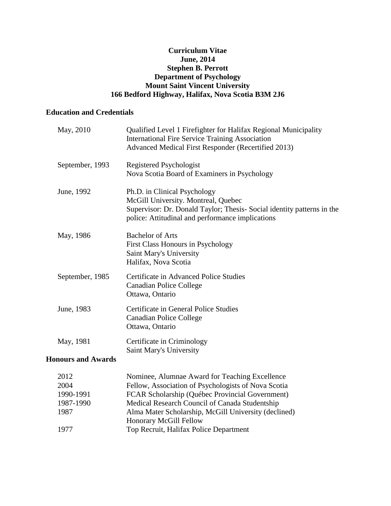## **Curriculum Vitae June, 2014 Stephen B. Perrott Department of Psychology Mount Saint Vincent University 166 Bedford Highway, Halifax, Nova Scotia B3M 2J6**

# **Education and Credentials**

| September, 1993<br>Registered Psychologist<br>Nova Scotia Board of Examiners in Psychology<br>Ph.D. in Clinical Psychology<br>June, 1992<br>McGill University. Montreal, Quebec<br>police: Attitudinal and performance implications<br><b>Bachelor of Arts</b><br>May, 1986<br>First Class Honours in Psychology<br>Saint Mary's University<br>Halifax, Nova Scotia<br>Certificate in Advanced Police Studies<br>September, 1985<br><b>Canadian Police College</b><br>Ottawa, Ontario<br>Certificate in General Police Studies<br>June, 1983<br><b>Canadian Police College</b><br>Ottawa, Ontario<br>May, 1981<br>Certificate in Criminology<br>Saint Mary's University<br><b>Honours and Awards</b> | May, 2010 | Qualified Level 1 Firefighter for Halifax Regional Municipality<br><b>International Fire Service Training Association</b><br>Advanced Medical First Responder (Recertified 2013) |
|------------------------------------------------------------------------------------------------------------------------------------------------------------------------------------------------------------------------------------------------------------------------------------------------------------------------------------------------------------------------------------------------------------------------------------------------------------------------------------------------------------------------------------------------------------------------------------------------------------------------------------------------------------------------------------------------------|-----------|----------------------------------------------------------------------------------------------------------------------------------------------------------------------------------|
|                                                                                                                                                                                                                                                                                                                                                                                                                                                                                                                                                                                                                                                                                                      |           |                                                                                                                                                                                  |
|                                                                                                                                                                                                                                                                                                                                                                                                                                                                                                                                                                                                                                                                                                      |           | Supervisor: Dr. Donald Taylor; Thesis- Social identity patterns in the                                                                                                           |
|                                                                                                                                                                                                                                                                                                                                                                                                                                                                                                                                                                                                                                                                                                      |           |                                                                                                                                                                                  |
|                                                                                                                                                                                                                                                                                                                                                                                                                                                                                                                                                                                                                                                                                                      |           |                                                                                                                                                                                  |
|                                                                                                                                                                                                                                                                                                                                                                                                                                                                                                                                                                                                                                                                                                      |           |                                                                                                                                                                                  |
|                                                                                                                                                                                                                                                                                                                                                                                                                                                                                                                                                                                                                                                                                                      |           |                                                                                                                                                                                  |
|                                                                                                                                                                                                                                                                                                                                                                                                                                                                                                                                                                                                                                                                                                      |           |                                                                                                                                                                                  |

| 2012      | Nominee, Alumnae Award for Teaching Excellence       |
|-----------|------------------------------------------------------|
| 2004      | Fellow, Association of Psychologists of Nova Scotia  |
| 1990-1991 | FCAR Scholarship (Québec Provincial Government)      |
| 1987-1990 | Medical Research Council of Canada Studentship       |
| 1987      | Alma Mater Scholarship, McGill University (declined) |
|           | <b>Honorary McGill Fellow</b>                        |
| 1977      | Top Recruit, Halifax Police Department               |
|           |                                                      |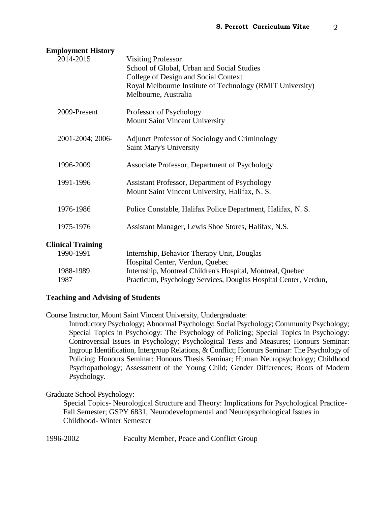| 2014-2015                | <b>Visiting Professor</b><br>School of Global, Urban and Social Studies<br>College of Design and Social Context<br>Royal Melbourne Institute of Technology (RMIT University)<br>Melbourne, Australia |
|--------------------------|------------------------------------------------------------------------------------------------------------------------------------------------------------------------------------------------------|
| 2009-Present             | Professor of Psychology<br>Mount Saint Vincent University                                                                                                                                            |
| 2001-2004; 2006-         | Adjunct Professor of Sociology and Criminology<br>Saint Mary's University                                                                                                                            |
| 1996-2009                | Associate Professor, Department of Psychology                                                                                                                                                        |
| 1991-1996                | Assistant Professor, Department of Psychology<br>Mount Saint Vincent University, Halifax, N. S.                                                                                                      |
| 1976-1986                | Police Constable, Halifax Police Department, Halifax, N. S.                                                                                                                                          |
| 1975-1976                | Assistant Manager, Lewis Shoe Stores, Halifax, N.S.                                                                                                                                                  |
| <b>Clinical Training</b> |                                                                                                                                                                                                      |
| 1990-1991                | Internship, Behavior Therapy Unit, Douglas                                                                                                                                                           |
| 1988-1989<br>1987        | Hospital Center, Verdun, Quebec<br>Internship, Montreal Children's Hospital, Montreal, Quebec<br>Practicum, Psychology Services, Douglas Hospital Center, Verdun,                                    |
|                          |                                                                                                                                                                                                      |

# **Employment History**

## **Teaching and Advising of Students**

Course Instructor, Mount Saint Vincent University, Undergraduate:

Introductory Psychology; Abnormal Psychology; Social Psychology; Community Psychology; Special Topics in Psychology: The Psychology of Policing; Special Topics in Psychology: Controversial Issues in Psychology; Psychological Tests and Measures; Honours Seminar: Ingroup Identification, Intergroup Relations, & Conflict; Honours Seminar: The Psychology of Policing; Honours Seminar: Honours Thesis Seminar; Human Neuropsychology; Childhood Psychopathology; Assessment of the Young Child; Gender Differences; Roots of Modern Psychology.

## Graduate School Psychology:

Special Topics- Neurological Structure and Theory: Implications for Psychological Practice-Fall Semester; GSPY 6831, Neurodevelopmental and Neuropsychological Issues in Childhood- Winter Semester

1996-2002 Faculty Member, Peace and Conflict Group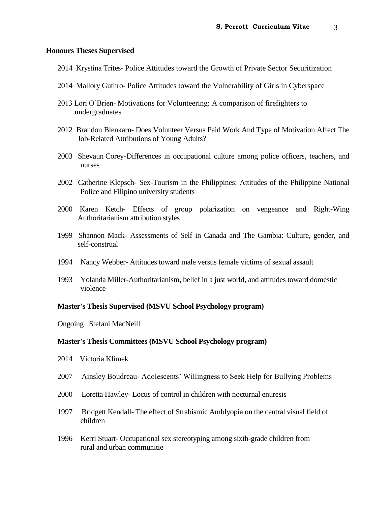#### **Honours Theses Supervised**

- 2014 Krystina Trites- Police Attitudes toward the Growth of Private Sector Securitization
- 2014 Mallory Guthro- Police Attitudes toward the Vulnerability of Girls in Cyberspace
- 2013 Lori O'Brien- Motivations for Volunteering: A comparison of firefighters to undergraduates
- 2012Brandon Blenkarn- Does Volunteer Versus Paid Work And Type of Motivation Affect The Job-Related Attributions of Young Adults?
- 2003 Shevaun Corey-Differences in occupational culture among police officers, teachers, and nurses
- 2002 Catherine Klepsch- Sex-Tourism in the Philippines: Attitudes of the Philippine National Police and Filipino university students
- 2000 Karen Ketch- Effects of group polarization on vengeance and Right-Wing Authoritarianism attribution styles
- 1999 Shannon Mack- Assessments of Self in Canada and The Gambia: Culture, gender, and self-construal
- 1994 Nancy Webber- Attitudes toward male versus female victims of sexual assault
- 1993 Yolanda Miller-Authoritarianism, belief in a just world, and attitudes toward domestic violence

#### **Master's Thesis Supervised (MSVU School Psychology program)**

Ongoing Stefani MacNeill

#### **Master's Thesis Committees (MSVU School Psychology program)**

- 2014 Victoria Klimek
- 2007Ainsley Boudreau- Adolescents' Willingness to Seek Help for Bullying Problems
- 2000 Loretta Hawley- Locus of control in children with nocturnal enuresis
- 1997 Bridgett Kendall- The effect of Strabismic Amblyopia on the central visual field of children
- 1996 Kerri Stuart- Occupational sex stereotyping among sixth-grade children from rural and urban communitie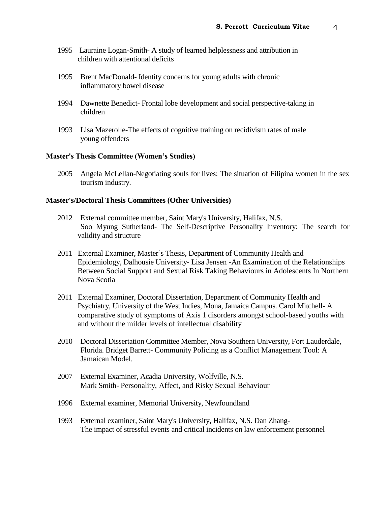- 1995 Lauraine Logan-Smith- A study of learned helplessness and attribution in children with attentional deficits
- 1995 Brent MacDonald- Identity concerns for young adults with chronic inflammatory bowel disease
- 1994 Dawnette Benedict- Frontal lobe development and social perspective-taking in children
- 1993 Lisa Mazerolle-The effects of cognitive training on recidivism rates of male young offenders

#### **Master's Thesis Committee (Women's Studies)**

2005 Angela McLellan-Negotiating souls for lives: The situation of Filipina women in the sex tourism industry.

#### **Master's/Doctoral Thesis Committees (Other Universities)**

- 2012 External committee member, Saint Mary's University, Halifax, N.S. Soo Myung Sutherland- The Self-Descriptive Personality Inventory: The search for validity and structure
- 2011 External Examiner, Master's Thesis, Department of Community Health and Epidemiology, Dalhousie University- Lisa Jensen -An Examination of the Relationships Between Social Support and Sexual Risk Taking Behaviours in Adolescents In Northern Nova Scotia
- 2011 External Examiner, Doctoral Dissertation, Department of Community Health and Psychiatry, University of the West Indies, Mona, Jamaica Campus. Carol Mitchell- A comparative study of symptoms of Axis 1 disorders amongst school-based youths with and without the milder levels of intellectual disability
- 2010 Doctoral Dissertation Committee Member, Nova Southern University, Fort Lauderdale, Florida. Bridget Barrett- Community Policing as a Conflict Management Tool: A Jamaican Model.
- 2007 External Examiner, Acadia University, Wolfville, N.S. Mark Smith- Personality, Affect, and Risky Sexual Behaviour
- 1996 External examiner, Memorial University, Newfoundland
- 1993 External examiner, Saint Mary's University, Halifax, N.S. Dan Zhang-The impact of stressful events and critical incidents on law enforcement personnel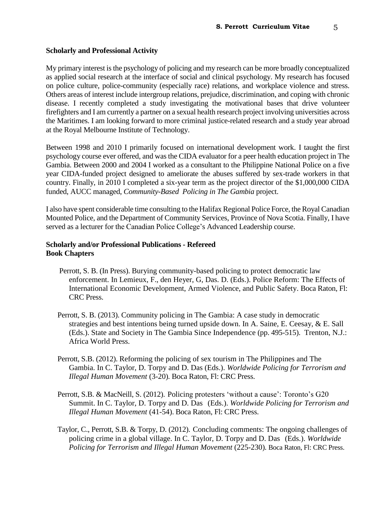#### **Scholarly and Professional Activity**

My primary interest is the psychology of policing and my research can be more broadly conceptualized as applied social research at the interface of social and clinical psychology. My research has focused on police culture, police-community (especially race) relations, and workplace violence and stress. Others areas of interest include intergroup relations, prejudice, discrimination, and coping with chronic disease. I recently completed a study investigating the motivational bases that drive volunteer firefighters and I am currently a partner on a sexual health research project involving universities across the Maritimes. I am looking forward to more criminal justice-related research and a study year abroad at the Royal Melbourne Institute of Technology.

Between 1998 and 2010 I primarily focused on international development work. I taught the first psychology course ever offered, and was the CIDA evaluator for a peer health education project in The Gambia. Between 2000 and 2004 I worked as a consultant to the Philippine National Police on a five year CIDA-funded project designed to ameliorate the abuses suffered by sex-trade workers in that country. Finally, in 2010 I completed a six-year term as the project director of the \$1,000,000 CIDA funded, AUCC managed, *Community-Based Policing in The Gambia* project.

I also have spent considerable time consulting to the Halifax Regional Police Force, the Royal Canadian Mounted Police, and the Department of Community Services, Province of Nova Scotia. Finally, I have served as a lecturer for the Canadian Police College's Advanced Leadership course.

## **Scholarly and/or Professional Publications - Refereed Book Chapters**

- Perrott, S. B. (In Press). Burying community-based policing to protect democratic law enforcement. In Lemieux, F., den Heyer, G, Das. D. (Eds.). Police Reform: The Effects of International Economic Development, Armed Violence, and Public Safety. Boca Raton, Fl: CRC Press.
- Perrott, S. B. (2013). Community policing in The Gambia: A case study in democratic strategies and best intentions being turned upside down. In A. Saine, E. Ceesay, & E. Sall (Eds.). State and Society in The Gambia Since Independence (pp. 495-515). Trenton, N.J.: Africa World Press.
- Perrott, S.B. (2012). Reforming the policing of sex tourism in The Philippines and The Gambia. In C. Taylor, D. Torpy and D. Das (Eds.). *Worldwide Policing for Terrorism and Illegal Human Movement* (3-20)*.* Boca Raton, Fl: CRC Press.
- Perrott, S.B. & MacNeill, S. (2012). Policing protesters 'without a cause': Toronto's G20 Summit. In C. Taylor, D. Torpy and D. Das (Eds.). *Worldwide Policing for Terrorism and Illegal Human Movement* (41-54). Boca Raton, Fl: CRC Press.
- Taylor, C., Perrott, S.B. & Torpy, D. (2012). Concluding comments: The ongoing challenges of policing crime in a global village. In C. Taylor, D. Torpy and D. Das (Eds.). *Worldwide Policing for Terrorism and Illegal Human Movement* (225-230)*.* Boca Raton, Fl: CRC Press.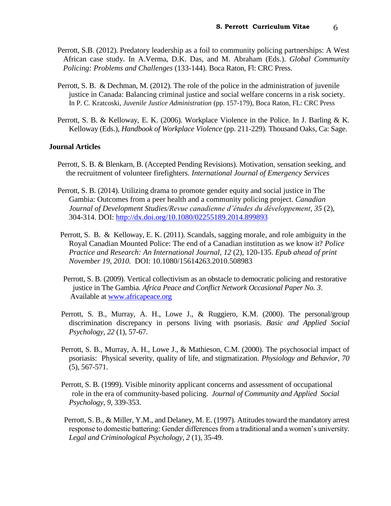- Perrott, S.B. (2012). Predatory leadership as a foil to community policing partnerships: A West African case study. In A.Verma, D.K. Das, and M. Abraham (Eds.). *Global Community Policing: Problems and Challenges* (133-144)*.* Boca Raton, Fl: CRC Press.
- Perrott, S. B. & Dechman, M. (2012). The role of the police in the administration of juvenile justice in Canada: Balancing criminal justice and social welfare concerns in a risk society. In P. C. Kratcoski, *Juvenile Justice Administration* (pp. 157-179), Boca Raton, FL: CRC Press
- Perrott, S. B. & Kelloway, E. K. (2006). Workplace Violence in the Police. In J. Barling & K. Kelloway (Eds.), *Handbook of Workplace Violence* (pp. 211-229)*.* Thousand Oaks, Ca: Sage.

#### **Journal Articles**

- Perrott, S. B. & Blenkarn, B. (Accepted Pending Revisions). Motivation, sensation seeking, and the recruitment of volunteer firefighters. *International Journal of Emergency Services*
- Perrott, S. B. (2014). Utilizing drama to promote gender equity and social justice in The Gambia: Outcomes from a peer health and a community policing project. *Canadian Journal of Development Studies/Revue canadienne d'études du développement, 35* (2), 304-314. DOI:<http://dx.doi.org/10.1080/02255189.2014.899893>
- Perrott, S. B. & Kelloway, E. K. (2011). Scandals, sagging morale, and role ambiguity in the Royal Canadian Mounted Police: The end of a Canadian institution as we know it? *Police Practice and Research: An International Journal, 12* (2), 120-135. *Epub ahead of print November 19, 2010.* DOI: 10.1080/15614263.2010.508983
- Perrott, S. B. (2009). Vertical collectivism as an obstacle to democratic policing and restorative justice in The Gambia. *Africa Peace and Conflict Network Occasional Paper No. 3*. Available at [www.africapeace.org](http://www.africapeace.org/)
- Perrott, S. B., Murray, A. H., Lowe J., & Ruggiero, K.M. (2000). The personal/group discrimination discrepancy in persons living with psoriasis. *Basic and Applied Social Psychology, 22* (1), 57-67.
- Perrott, S. B., Murray, A. H., Lowe J., & Mathieson, C.M. (2000). The psychosocial impact of psoriasis: Physical severity, quality of life, and stigmatization. *Physiology and Behavior, 70*  (5), 567-571.
- Perrott, S. B. (1999). Visible minority applicant concerns and assessment of occupational role in the era of community-based policing. *Journal of Community and Applied Social Psychology, 9,* 339-353.
- Perrott, S. B., & Miller, Y.M., and Delaney, M. E. (1997). Attitudes toward the mandatory arrest response to domestic battering: Gender differences from a traditional and a women's university. *Legal and Criminological Psychology, 2* (1), 35-49.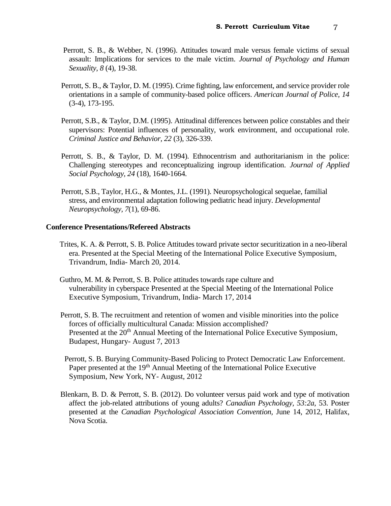- Perrott, S. B., & Webber, N. (1996). Attitudes toward male versus female victims of sexual assault: Implications for services to the male victim. *Journal of Psychology and Human Sexuality, 8* (4), 19-38.
- Perrott, S. B., & Taylor, D. M. (1995). Crime fighting, law enforcement, and service provider role orientations in a sample of community-based police officers. *American Journal of Police, 14*  (3-4), 173-195.
- Perrott, S.B., & Taylor, D.M. (1995). Attitudinal differences between police constables and their supervisors: Potential influences of personality, work environment, and occupational role. *Criminal Justice and Behavior, 22* (3), 326-339.
- Perrott, S. B., & Taylor, D. M. (1994). Ethnocentrism and authoritarianism in the police: Challenging stereotypes and reconceptualizing ingroup identification. *Journal of Applied Social Psychology, 24* (18)*,* 1640-1664.
- Perrott, S.B., Taylor, H.G., & Montes, J.L. (1991). Neuropsychological sequelae, familial stress, and environmental adaptation following pediatric head injury. *Developmental Neuropsychology, 7*(1), 69-86.

#### **Conference Presentations/Refereed Abstracts**

- Trites, K. A. & Perrott, S. B. Police Attitudes toward private sector securitization in a neo-liberal era. Presented at the Special Meeting of the International Police Executive Symposium, Trivandrum, India- March 20, 2014.
- Guthro, M. M. & Perrott, S. B. Police attitudes towards rape culture and vulnerability in cyberspace Presented at the Special Meeting of the International Police Executive Symposium, Trivandrum, India- March 17, 2014
- Perrott, S. B. The recruitment and retention of women and visible minorities into the police forces of officially multicultural Canada: Mission accomplished? Presented at the 20<sup>th</sup> Annual Meeting of the International Police Executive Symposium, Budapest, Hungary- August 7, 2013
- Perrott, S. B. Burying Community-Based Policing to Protect Democratic Law Enforcement. Paper presented at the 19<sup>th</sup> Annual Meeting of the International Police Executive Symposium, New York, NY- August, 2012
- Blenkarn, B. D. & Perrott, S. B. (2012). Do volunteer versus paid work and type of motivation affect the job-related attributions of young adults? *Canadian Psychology, 53:2a*, 53. Poster presented at the *Canadian Psychological Association Convention,* June 14, 2012, Halifax, Nova Scotia.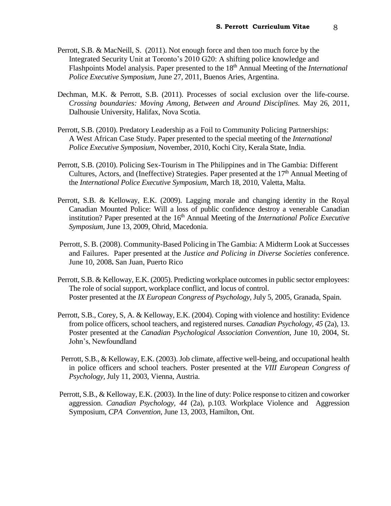- Perrott, S.B. & MacNeill, S. (2011). Not enough force and then too much force by the Integrated Security Unit at Toronto's 2010 G20: A shifting police knowledge and Flashpoints Model analysis. Paper presented to the 18th Annual Meeting of the *International Police Executive Symposium,* June 27, 2011, Buenos Aries, Argentina.
- Dechman, M.K. & Perrott, S.B. (2011). Processes of social exclusion over the life-course. *Crossing boundaries: Moving Among, Between and Around Disciplines.* May 26, 2011, Dalhousie University, Halifax, Nova Scotia.
- Perrott, S.B. (2010). Predatory Leadership as a Foil to Community Policing Partnerships: A West African Case Study. Paper presented to the special meeting of the *International Police Executive Symposium,* November, 2010, Kochi City, Kerala State, India.
- Perrott, S.B. (2010). Policing Sex-Tourism in The Philippines and in The Gambia: Different Cultures, Actors, and (Ineffective) Strategies. Paper presented at the 17<sup>th</sup> Annual Meeting of the *International Police Executive Symposium,* March 18, 2010, Valetta, Malta.
- Perrott, S.B. & Kelloway, E.K. (2009). Lagging morale and changing identity in the Royal Canadian Mounted Police: Will a loss of public confidence destroy a venerable Canadian institution? Paper presented at the 16<sup>th</sup> Annual Meeting of the *International Police Executive Symposium,* June 13, 2009, Ohrid, Macedonia.
- Perrott, S. B. (2008). Community-Based Policing in The Gambia: A Midterm Look at Successes and Failures. Paper presented at the *Justice and Policing in Diverse Societies* conference. June 10, 2008**.** San Juan, Puerto Rico
- Perrott, S.B. & Kelloway, E.K. (2005). Predicting workplace outcomes in public sector employees: The role of social support, workplace conflict, and locus of control. Poster presented at the *IX European Congress of Psychology,* July 5, 2005, Granada, Spain.
- Perrott, S.B., Corey, S, A. & Kelloway, E.K. (2004). Coping with violence and hostility: Evidence from police officers, school teachers, and registered nurses. *Canadian Psychology, 45* (2a), 13. Poster presented at the *Canadian Psychological Association Convention*, June 10, 2004, St. John's, Newfoundland
- Perrott, S.B., & Kelloway, E.K. (2003). Job climate, affective well-being, and occupational health in police officers and school teachers. Poster presented at the *VIII European Congress of Psychology,* July 11, 2003, Vienna, Austria.
- Perrott, S.B., & Kelloway, E.K. (2003). In the line of duty: Police response to citizen and coworker aggression. *Canadian Psychology, 44* (2a), p.103. Workplace Violence and Aggression Symposium, *CPA Convention,* June 13, 2003, Hamilton, Ont.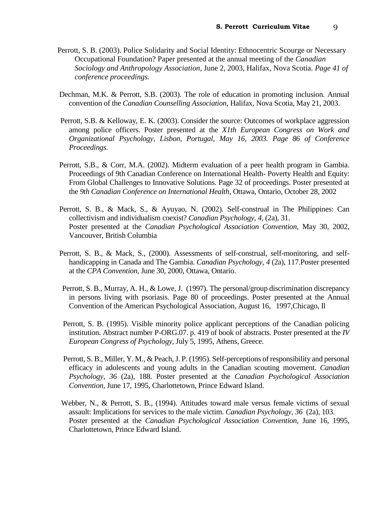- Perrott, S. B. (2003). Police Solidarity and Social Identity: Ethnocentric Scourge or Necessary Occupational Foundation? Paper presented at the annual meeting of the *Canadian Sociology and Anthropology Association*, June 2, 2003, Halifax, Nova Scotia. *Page 41 of conference proceedings.*
- Dechman, M.K. & Perrott, S.B. (2003). The role of education in promoting inclusion. Annual convention of the *Canadian Counselling Association*, Halifax, Nova Scotia, May 21, 2003.
- Perrott, S.B. & Kelloway, E. K. (2003). Consider the source: Outcomes of workplace aggression among police officers. Poster presented at the *X1th European Congress on Work and Organizational Psychology, Lisbon, Portugal, May 16, 2003. Page 86 of Conference Proceedings.*
- Perrott, S.B., & Corr, M.A. (2002). Midterm evaluation of a peer health program in Gambia. Proceedings of 9th Canadian Conference on International Health- Poverty Health and Equity: From Global Challenges to Innovative Solutions. Page 32 of proceedings. Poster presented at the *9th Canadian Conference on International Health*, Ottawa, Ontario, October 28, 2002
- Perrott, S. B., & Mack, S., & Ayuyao, N. (2002). Self-construal in The Philippines: Can collectivism and individualism coexist? *Canadian Psychology, 4,* (2a), 31. Poster presented at the *Canadian Psychological Association Convention,* May 30, 2002, Vancouver, British Columbia
- Perrott, S. B., & Mack, S., (2000). Assessments of self-construal, self-monitoring, and selfhandicapping in Canada and The Gambia. *Canadian Psychology, 4* (2a), 117.Poster presented at the *CPA Convention,* June 30, 2000, Ottawa, Ontario.
- Perrott, S. B., Murray, A. H., & Lowe, J. (1997). The personal/group discrimination discrepancy in persons living with psoriasis. Page 80 of proceedings. Poster presented at the Annual Convention of the American Psychological Association, August 16, 1997,Chicago, Il
- Perrott, S. B. (1995). Visible minority police applicant perceptions of the Canadian policing institution. Abstract number P-ORG.07. p. 419 of book of abstracts. Poster presented at the *IV European Congress of Psychology,* July 5, 1995, Athens, Greece.
- Perrott, S. B., Miller, Y. M., & Peach, J. P. (1995). Self-perceptions of responsibility and personal efficacy in adolescents and young adults in the Canadian scouting movement. *Canadian Psychology, 36* (2a), 188. Poster presented at the *Canadian Psychological Association Convention,* June 17, 1995, Charlottetown, Prince Edward Island.
- Webber, N., & Perrott, S. B., (1994). Attitudes toward male versus female victims of sexual assault: Implications for services to the male victim. *Canadian Psychology, 36* (2a), 103. Poster presented at the *Canadian Psychological Association Convention,* June 16, 1995, Charlottetown, Prince Edward Island.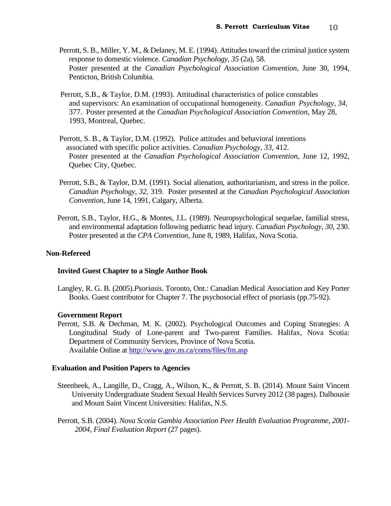- Perrott, S. B., Miller, Y. M., & Delaney, M. E. (1994). Attitudes toward the criminal justice system response to domestic violence. *Canadian Psychology, 35* (2a), 58. Poster presented at the *Canadian Psychological Association Convention,* June 30, 1994, Penticton, British Columbia.
- Perrott, S.B., & Taylor, D.M. (1993). Attitudinal characteristics of police constables and supervisors: An examination of occupational homogeneity. *Canadian Psychology, 34,* 377. Poster presented at the *Canadian Psychological Association Convention,* May 28, 1993, Montreal, Quebec.
- Perrott, S. B., & Taylor, D.M. (1992). Police attitudes and behavioral intentions associated with specific police activities. *Canadian Psychology, 33,* 412. Poster presented at the *Canadian Psychological Association Convention,* June 12, 1992, Quebec City, Quebec.
- Perrott, S.B., & Taylor, D.M. (1991). Social alienation, authoritarianism, and stress in the police. *Canadian Psychology, 32,* 319. Poster presented at the *Canadian Psychological Association Convention*, June 14, 1991, Calgary, Alberta.
- Perrott, S.B., Taylor, H.G., & Montes, J.L. (1989). Neuropsychological sequelae, familial stress, and environmental adaptation following pediatric head injury. *Canadian Psychology, 30*, 230. Poster presented at the *CPA Convention,* June 8, 1989, Halifax, Nova Scotia.

## **Non-Refereed**

## **Invited Guest Chapter to a Single Author Book**

Langley, R. G. B. (2005).*Psoriasis.* Toronto, Ont.: Canadian Medical Association and Key Porter Books. Guest contributor for Chapter 7. The psychosocial effect of psoriasis (pp.75-92).

## **Government Report**

Perrott, S.B. & Dechman, M. K. (2002). Psychological Outcomes and Coping Strategies: A Longitudinal Study of Lone-parent and Two-parent Families. Halifax, Nova Scotia: Department of Community Services, Province of Nova Scotia. Available Online at<http://www.gov.ns.ca/coms/files/fm.asp>

#### **Evaluation and Position Papers to Agencies**

- Steenbeek, A., Langille, D., Cragg, A., Wilson, K., & Perrott, S. B. (2014). Mount Saint Vincent University Undergraduate Student Sexual Health Services Survey 2012 (38 pages). Dalhousie and Mount Saint Vincent Universities: Halifax, N.S.
- Perrott, S.B. (2004). *Nova Scotia Gambia Association Peer Health Evaluation Programme, 2001- 2004, Final Evaluation Report* (27 pages).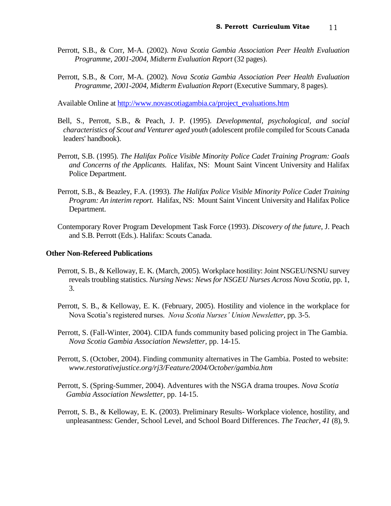- Perrott, S.B., & Corr, M-A. (2002). *Nova Scotia Gambia Association Peer Health Evaluation Programme, 2001-2004, Midterm Evaluation Report* (32 pages).
- Perrott, S.B., & Corr, M-A. (2002). *Nova Scotia Gambia Association Peer Health Evaluation Programme, 2001-2004, Midterm Evaluation Report* (Executive Summary, 8 pages).

Available Online at [http://www.novascotiagambia.ca/project\\_evaluations.htm](http://www.novascotiagambia.ca/project_evaluations.htm)

- Bell, S., Perrott, S.B., & Peach, J. P. (1995). *Developmental, psychological, and social characteristics of Scout and Venturer aged youth* (adolescent profile compiled for Scouts Canada leaders' handbook).
- Perrott, S.B. (1995). *The Halifax Police Visible Minority Police Cadet Training Program: Goals and Concerns of the Applicants.* Halifax, NS: Mount Saint Vincent University and Halifax Police Department.
- Perrott, S.B., & Beazley, F.A. (1993). *The Halifax Police Visible Minority Police Cadet Training Program: An interim report.* Halifax, NS: Mount Saint Vincent University and Halifax Police Department.
- Contemporary Rover Program Development Task Force (1993). *Discovery of the future,* J. Peach and S.B. Perrott (Eds.). Halifax: Scouts Canada.

#### **Other Non-Refereed Publications**

- Perrott, S. B., & Kelloway, E. K. (March, 2005). Workplace hostility: Joint NSGEU/NSNU survey reveals troubling statistics. *Nursing News: News for NSGEU Nurses Across Nova Scotia,* pp. 1, 3.
- Perrott, S. B., & Kelloway, E. K. (February, 2005). Hostility and violence in the workplace for Nova Scotia's registered nurses. *Nova Scotia Nurses' Union Newsletter*, pp. 3-5.
- Perrott, S. (Fall-Winter, 2004). CIDA funds community based policing project in The Gambia. *Nova Scotia Gambia Association Newsletter,* pp. 14-15.
- Perrott, S. (October, 2004). Finding community alternatives in The Gambia. Posted to website: *www.restorativejustice.org/rj3/Feature/2004/October/gambia.htm*
- Perrott, S. (Spring-Summer, 2004). Adventures with the NSGA drama troupes. *Nova Scotia Gambia Association Newsletter,* pp. 14-15.
- Perrott, S. B., & Kelloway, E. K. (2003). Preliminary Results- Workplace violence, hostility, and unpleasantness: Gender, School Level, and School Board Differences. *The Teacher, 41* (8), 9.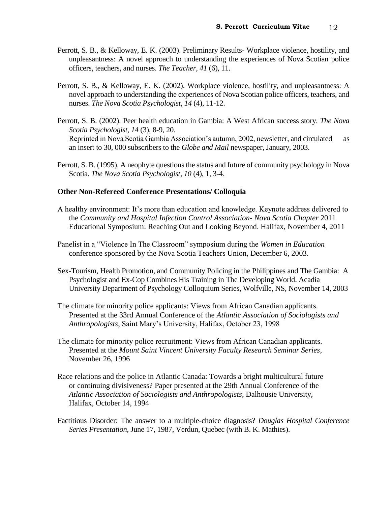- Perrott, S. B., & Kelloway, E. K. (2003). Preliminary Results- Workplace violence, hostility, and unpleasantness: A novel approach to understanding the experiences of Nova Scotian police officers, teachers, and nurses. *The Teacher, 41* (6), 11.
- Perrott, S. B., & Kelloway, E. K. (2002). Workplace violence, hostility, and unpleasantness: A novel approach to understanding the experiences of Nova Scotian police officers, teachers, and nurses. *The Nova Scotia Psychologist, 14* (4), 11-12.
- Perrott, S. B. (2002). Peer health education in Gambia: A West African success story. *The Nova Scotia Psychologist, 14* (3), 8-9, 20. Reprinted in Nova Scotia Gambia Association's autumn, 2002, newsletter, and circulated as an insert to 30, 000 subscribers to the *Globe and Mail* newspaper, January, 2003.
- Perrott, S. B. (1995). A neophyte questions the status and future of community psychology in Nova Scotia. *The Nova Scotia Psychologist, 10* (4), 1, 3-4.

## **Other Non-Refereed Conference Presentations/ Colloquia**

- A healthy environment: It's more than education and knowledge. Keynote address delivered to the *Community and Hospital Infection Control Association- Nova Scotia Chapter* 2011 Educational Symposium: Reaching Out and Looking Beyond. Halifax, November 4, 2011
- Panelist in a "Violence In The Classroom" symposium during the *Women in Education*  conference sponsored by the Nova Scotia Teachers Union, December 6, 2003.
- Sex-Tourism, Health Promotion, and Community Policing in the Philippines and The Gambia: A Psychologist and Ex-Cop Combines His Training in The Developing World. Acadia University Department of Psychology Colloquium Series, Wolfville, NS, November 14, 2003
- The climate for minority police applicants: Views from African Canadian applicants. Presented at the 33rd Annual Conference of the *Atlantic Association of Sociologists and Anthropologists*, Saint Mary's University, Halifax, October 23, 1998
- The climate for minority police recruitment: Views from African Canadian applicants. Presented at the *Mount Saint Vincent University Faculty Research Seminar Series*, November 26, 1996
- Race relations and the police in Atlantic Canada: Towards a bright multicultural future or continuing divisiveness? Paper presented at the 29th Annual Conference of the *Atlantic Association of Sociologists and Anthropologists*, Dalhousie University, Halifax, October 14, 1994
- Factitious Disorder: The answer to a multiple-choice diagnosis? *Douglas Hospital Conference Series Presentation,* June 17, 1987, Verdun, Quebec (with B. K. Mathies).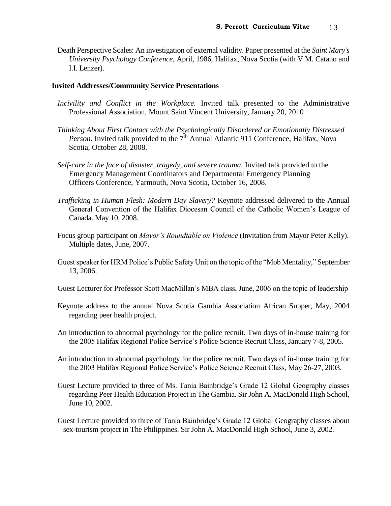Death Perspective Scales: An investigation of external validity. Paper presented at the *Saint Mary's University Psychology Conference,* April, 1986, Halifax, Nova Scotia (with V.M. Catano and I.I. Lenzer).

## **Invited Addresses/Community Service Presentations**

- *Incivility and Conflict in the Workplace.* Invited talk presented to the Administrative Professional Association, Mount Saint Vincent University, January 20, 2010
- *Thinking About First Contact with the Psychologically Disordered or Emotionally Distressed Person.* Invited talk provided to the 7<sup>th</sup> Annual Atlantic 911 Conference, Halifax, Nova Scotia, October 28, 2008.
- Self-care in the face of disaster, tragedy, and severe trauma. Invited talk provided to the Emergency Management Coordinators and Departmental Emergency Planning Officers Conference, Yarmouth, Nova Scotia, October 16, 2008.
- *Trafficking in Human Flesh: Modern Day Slavery?* Keynote addressed delivered to the Annual General Convention of the Halifax Diocesan Council of the Catholic Women's League of Canada. May 10, 2008.
- Focus group participant on *Mayor's Roundtable on Violence* (Invitation from Mayor Peter Kelly). Multiple dates, June, 2007.
- Guest speaker for HRM Police's Public Safety Unit on the topic of the "Mob Mentality," September 13, 2006.
- Guest Lecturer for Professor Scott MacMillan's MBA class, June, 2006 on the topic of leadership
- Keynote address to the annual Nova Scotia Gambia Association African Supper, May, 2004 regarding peer health project.
- An introduction to abnormal psychology for the police recruit. Two days of in-house training for the 2005 Halifax Regional Police Service's Police Science Recruit Class, January 7-8, 2005.
- An introduction to abnormal psychology for the police recruit. Two days of in-house training for the 2003 Halifax Regional Police Service's Police Science Recruit Class, May 26-27, 2003.
- Guest Lecture provided to three of Ms. Tania Bainbridge's Grade 12 Global Geography classes regarding Peer Health Education Project in The Gambia. Sir John A. MacDonald High School, June 10, 2002.
- Guest Lecture provided to three of Tania Bainbridge's Grade 12 Global Geography classes about sex-tourism project in The Philippines. Sir John A. MacDonald High School, June 3, 2002.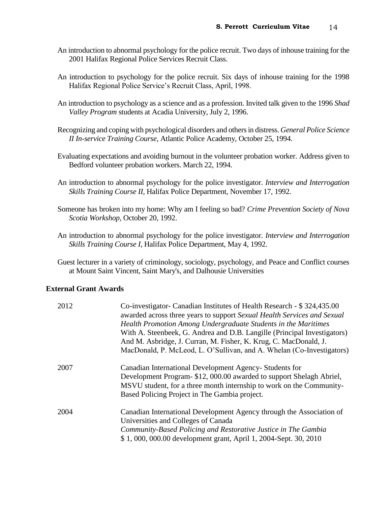- An introduction to abnormal psychology for the police recruit. Two days of inhouse training for the 2001 Halifax Regional Police Services Recruit Class.
- An introduction to psychology for the police recruit. Six days of inhouse training for the 1998 Halifax Regional Police Service's Recruit Class, April, 1998.
- An introduction to psychology as a science and as a profession. Invited talk given to the 1996 *Shad Valley Program* students at Acadia University, July 2, 1996.
- Recognizing and coping with psychological disorders and othersin distress. *General Police Science II In-service Training Course,* Atlantic Police Academy, October 25, 1994.
- Evaluating expectations and avoiding burnout in the volunteer probation worker. Address given to Bedford volunteer probation workers. March 22, 1994.
- An introduction to abnormal psychology for the police investigator. *Interview and Interrogation Skills Training Course II,* Halifax Police Department, November 17, 1992.
- Someone has broken into my home: Why am I feeling so bad? *Crime Prevention Society of Nova Scotia Workshop,* October 20, 1992.
- An introduction to abnormal psychology for the police investigator. *Interview and Interrogation Skills Training Course I,* Halifax Police Department, May 4, 1992.

Guest lecturer in a variety of criminology, sociology, psychology, and Peace and Conflict courses at Mount Saint Vincent, Saint Mary's, and Dalhousie Universities

## **External Grant Awards**

| 2012 | Co-investigator- Canadian Institutes of Health Research - \$324,435.00<br>awarded across three years to support Sexual Health Services and Sexual<br>Health Promotion Among Undergraduate Students in the Maritimes<br>With A. Steenbeek, G. Andrea and D.B. Langille (Principal Investigators)<br>And M. Asbridge, J. Curran, M. Fisher, K. Krug, C. MacDonald, J.<br>MacDonald, P. McLeod, L. O'Sullivan, and A. Whelan (Co-Investigators) |
|------|----------------------------------------------------------------------------------------------------------------------------------------------------------------------------------------------------------------------------------------------------------------------------------------------------------------------------------------------------------------------------------------------------------------------------------------------|
| 2007 | Canadian International Development Agency- Students for<br>Development Program- \$12, 000.00 awarded to support Shelagh Abriel,<br>MSVU student, for a three month internship to work on the Community-<br>Based Policing Project in The Gambia project.                                                                                                                                                                                     |
| 2004 | Canadian International Development Agency through the Association of<br>Universities and Colleges of Canada<br>Community-Based Policing and Restorative Justice in The Gambia<br>\$1,000,000.00 development grant, April 1, 2004-Sept. 30, 2010                                                                                                                                                                                              |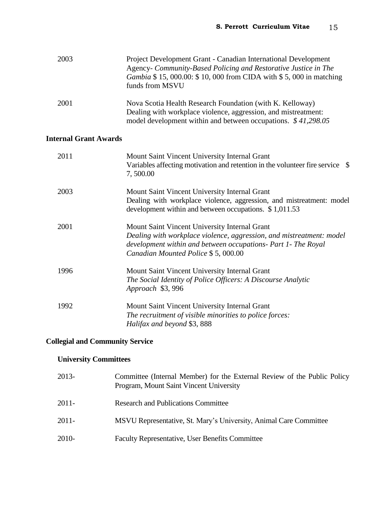| 2003 | Project Development Grant - Canadian International Development<br>Agency- Community-Based Policing and Restorative Justice in The<br>Gambia \$15,000.00: \$10,000 from CIDA with \$5,000 in matching<br>funds from MSVU |
|------|-------------------------------------------------------------------------------------------------------------------------------------------------------------------------------------------------------------------------|
| 2001 | Nova Scotia Health Research Foundation (with K. Kelloway)<br>Dealing with workplace violence, aggression, and mistreatment:<br>model development within and between occupations. \$41,298.05                            |

# **Internal Grant Awards**

| 2011 | Mount Saint Vincent University Internal Grant<br>Variables affecting motivation and retention in the volunteer fire service \\$<br>7,500.00                                                                                  |
|------|------------------------------------------------------------------------------------------------------------------------------------------------------------------------------------------------------------------------------|
| 2003 | Mount Saint Vincent University Internal Grant<br>Dealing with workplace violence, aggression, and mistreatment: model<br>development within and between occupations. \$1,011.53                                              |
| 2001 | Mount Saint Vincent University Internal Grant<br>Dealing with workplace violence, aggression, and mistreatment: model<br>development within and between occupations- Part 1- The Royal<br>Canadian Mounted Police \$5,000.00 |
| 1996 | Mount Saint Vincent University Internal Grant<br>The Social Identity of Police Officers: A Discourse Analytic<br>Approach \$3,996                                                                                            |
| 1992 | Mount Saint Vincent University Internal Grant<br>The recruitment of visible minorities to police forces:<br>Halifax and beyond \$3,888                                                                                       |

# **Collegial and Community Service**

## **University Committees**

| 2013- | Committee (Internal Member) for the External Review of the Public Policy<br>Program, Mount Saint Vincent University |
|-------|---------------------------------------------------------------------------------------------------------------------|
| 2011- | <b>Research and Publications Committee</b>                                                                          |
| 2011- | MSVU Representative, St. Mary's University, Animal Care Committee                                                   |
| 2010- | <b>Faculty Representative, User Benefits Committee</b>                                                              |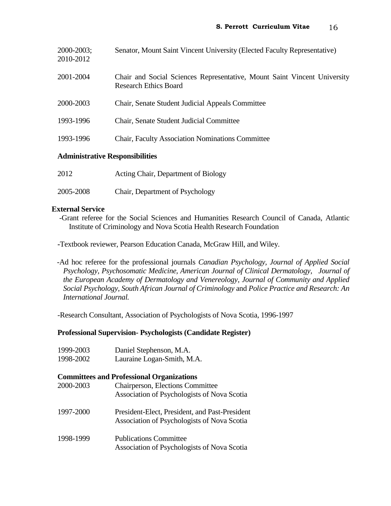| $2000 - 2003$ ;<br>2010-2012           | Senator, Mount Saint Vincent University (Elected Faculty Representative)                                 |
|----------------------------------------|----------------------------------------------------------------------------------------------------------|
| 2001-2004                              | Chair and Social Sciences Representative, Mount Saint Vincent University<br><b>Research Ethics Board</b> |
| 2000-2003                              | Chair, Senate Student Judicial Appeals Committee                                                         |
| 1993-1996                              | Chair, Senate Student Judicial Committee                                                                 |
| 1993-1996                              | <b>Chair, Faculty Association Nominations Committee</b>                                                  |
| <b>Administrative Responsibilities</b> |                                                                                                          |

2012 Acting Chair, Department of Biology

2005-2008 Chair, Department of Psychology

## **External Service**

-Grant referee for the Social Sciences and Humanities Research Council of Canada, Atlantic Institute of Criminology and Nova Scotia Health Research Foundation

**-**Textbook reviewer, Pearson Education Canada, McGraw Hill, and Wiley.

 -Ad hoc referee for the professional journals *Canadian Psychology, Journal of Applied Social Psychology, Psychosomatic Medicine, American Journal of Clinical Dermatology, Journal of the European Academy of Dermatology and Venereology, Journal of Community and Applied Social Psychology, South African Journal of Criminology* and *Police Practice and Research: An International Journal.*

-Research Consultant, Association of Psychologists of Nova Scotia, 1996-1997

## **Professional Supervision- Psychologists (Candidate Register)**

- 1999-2003 Daniel Stephenson, M.A.
- 1998-2002 Lauraine Logan-Smith, M.A.

## **Committees and Professional Organizations**

| 2000-2003 | <b>Chairperson, Elections Committee</b><br>Association of Psychologists of Nova Scotia        |
|-----------|-----------------------------------------------------------------------------------------------|
| 1997-2000 | President-Elect, President, and Past-President<br>Association of Psychologists of Nova Scotia |
| 1998-1999 | <b>Publications Committee</b><br>Association of Psychologists of Nova Scotia                  |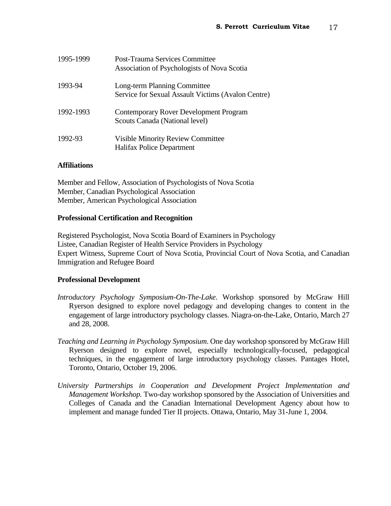| 1995-1999 | <b>Post-Trauma Services Committee</b><br>Association of Psychologists of Nova Scotia |
|-----------|--------------------------------------------------------------------------------------|
| 1993-94   | Long-term Planning Committee<br>Service for Sexual Assault Victims (Avalon Centre)   |
| 1992-1993 | Contemporary Rover Development Program<br>Scouts Canada (National level)             |
| 1992-93   | <b>Visible Minority Review Committee</b><br>Halifax Police Department                |

## **Affiliations**

Member and Fellow, Association of Psychologists of Nova Scotia Member, Canadian Psychological Association Member, American Psychological Association

## **Professional Certification and Recognition**

Registered Psychologist, Nova Scotia Board of Examiners in Psychology Listee, Canadian Register of Health Service Providers in Psychology Expert Witness, Supreme Court of Nova Scotia, Provincial Court of Nova Scotia, and Canadian Immigration and Refugee Board

## **Professional Development**

- *Introductory Psychology Symposium-On-The-Lake*. Workshop sponsored by McGraw Hill Ryerson designed to explore novel pedagogy and developing changes to content in the engagement of large introductory psychology classes. Niagra-on-the-Lake, Ontario, March 27 and 28, 2008.
- *Teaching and Learning in Psychology Symposium*. One day workshop sponsored by McGraw Hill Ryerson designed to explore novel, especially technologically-focused, pedagogical techniques, in the engagement of large introductory psychology classes. Pantages Hotel, Toronto, Ontario, October 19, 2006.
- *University Partnerships in Cooperation and Development Project Implementation and Management Workshop.* Two-day workshop sponsored by the Association of Universities and Colleges of Canada and the Canadian International Development Agency about how to implement and manage funded Tier II projects. Ottawa, Ontario, May 31-June 1, 2004.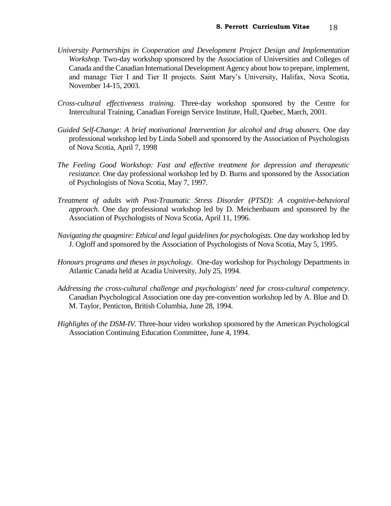- *University Partnerships in Cooperation and Development Project Design and Implementation Workshop.* Two-day workshop sponsored by the Association of Universities and Colleges of Canada and the Canadian International Development Agency about how to prepare, implement, and manage Tier I and Tier II projects. Saint Mary's University, Halifax, Nova Scotia, November 14-15, 2003.
- *Cross-cultural effectiveness training.* Three-day workshop sponsored by the Centre for Intercultural Training, Canadian Foreign Service Institute, Hull, Quebec, March, 2001.
- *Guided Self-Change: A brief motivational Intervention for alcohol and drug abusers.* One day professional workshop led by Linda Sobell and sponsored by the Association of Psychologists of Nova Scotia, April 7, 1998
- *The Feeling Good Workshop: Fast and effective treatment for depression and therapeutic resistance.* One day professional workshop led by D. Burns and sponsored by the Association of Psychologists of Nova Scotia, May 7, 1997.
- *Treatment of adults with Post-Traumatic Stress Disorder (PTSD): A cognitive-behavioral approach.* One day professional workshop led by D. Meichenbaum and sponsored by the Association of Psychologists of Nova Scotia, April 11, 1996.
- *Navigating the quagmire: Ethical and legal guidelines for psychologists.* One day workshop led by J. Ogloff and sponsored by the Association of Psychologists of Nova Scotia, May 5, 1995.
- *Honours programs and theses in psychology.* One-day workshop for Psychology Departments in Atlantic Canada held at Acadia University, July 25, 1994.
- *Addressing the cross-cultural challenge and psychologists' need for cross-cultural competency.*  Canadian Psychological Association one day pre-convention workshop led by A. Blue and D. M. Taylor, Penticton, British Columbia, June 28, 1994.
- *Highlights of the DSM-IV*. Three-hour video workshop sponsored by the American Psychological Association Continuing Education Committee, June 4, 1994.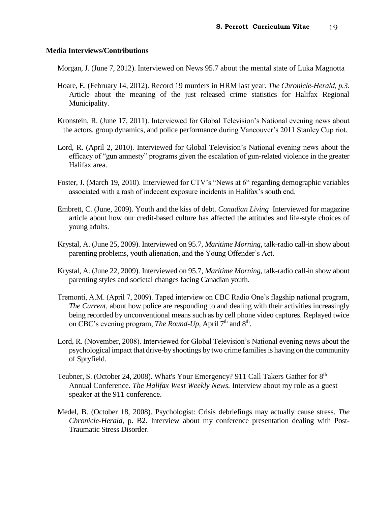## **Media Interviews/Contributions**

Morgan, J. (June 7, 2012). Interviewed on News 95.7 about the mental state of Luka Magnotta

- Hoare, E. (February 14, 2012). Record 19 murders in HRM last year. *The Chronicle-Herald, p.3.* Article about the meaning of the just released crime statistics for Halifax Regional Municipality.
- Kronstein, R. (June 17, 2011). Interviewed for Global Television's National evening news about the actors, group dynamics, and police performance during Vancouver's 2011 Stanley Cup riot.
- Lord, R. (April 2, 2010). Interviewed for Global Television's National evening news about the efficacy of "gun amnesty" programs given the escalation of gun-related violence in the greater Halifax area.
- Foster, J. (March 19, 2010). Interviewed for CTV's "News at 6" regarding demographic variables associated with a rash of indecent exposure incidents in Halifax's south end.
- Embrett, C. (June, 2009). Youth and the kiss of debt. *Canadian Living* Interviewed for magazine article about how our credit-based culture has affected the attitudes and life-style choices of young adults.
- Krystal, A. (June 25, 2009). Interviewed on 95.7, *Maritime Morning,* talk-radio call-in show about parenting problems, youth alienation, and the Young Offender's Act.
- Krystal, A. (June 22, 2009). Interviewed on 95.7, *Maritime Morning*, talk-radio call-in show about parenting styles and societal changes facing Canadian youth.
- Tremonti, A.M. (April 7, 2009). Taped interview on CBC Radio One's flagship national program, *The Current,* about how police are responding to and dealing with their activities increasingly being recorded by unconventional means such as by cell phone video captures. Replayed twice on CBC's evening program, *The Round-Up*, April 7<sup>th</sup> and 8<sup>th</sup>.
- Lord, R. (November, 2008). Interviewed for Global Television's National evening news about the psychological impact that drive-by shootings by two crime families is having on the community of Spryfield.
- Teubner, S. (October 24, 2008). What's Your Emergency? 911 Call Takers Gather for  $8<sup>th</sup>$ Annual Conference. *The Halifax West Weekly News.* Interview about my role as a guest speaker at the 911 conference.
- Medel, B. (October 18, 2008). Psychologist: Crisis debriefings may actually cause stress. *The Chronicle-Herald,* p. B2. Interview about my conference presentation dealing with Post-Traumatic Stress Disorder.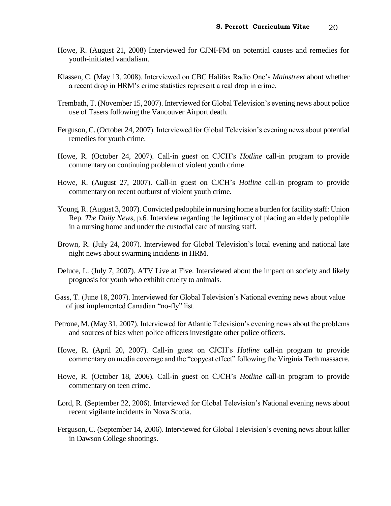- Howe, R. (August 21, 2008) Interviewed for CJNI-FM on potential causes and remedies for youth-initiated vandalism.
- Klassen, C. (May 13, 2008). Interviewed on CBC Halifax Radio One's *Mainstreet* about whether a recent drop in HRM's crime statistics represent a real drop in crime.
- Trembath, T. (November 15, 2007). Interviewed for Global Television's evening news about police use of Tasers following the Vancouver Airport death.
- Ferguson, C. (October 24, 2007). Interviewed for Global Television's evening news about potential remedies for youth crime.
- Howe, R. (October 24, 2007). Call-in guest on CJCH's *Hotline* call-in program to provide commentary on continuing problem of violent youth crime.
- Howe, R. (August 27, 2007). Call-in guest on CJCH's *Hotline* call-in program to provide commentary on recent outburst of violent youth crime.
- Young, R. (August 3, 2007). Convicted pedophile in nursing home a burden for facility staff: Union Rep. *The Daily News,* p.6. Interview regarding the legitimacy of placing an elderly pedophile in a nursing home and under the custodial care of nursing staff.
- Brown, R. (July 24, 2007). Interviewed for Global Television's local evening and national late night news about swarming incidents in HRM.
- Deluce, L. (July 7, 2007). ATV Live at Five. Interviewed about the impact on society and likely prognosis for youth who exhibit cruelty to animals.
- Gass, T. (June 18, 2007). Interviewed for Global Television's National evening news about value of just implemented Canadian "no-fly" list.
- Petrone, M. (May 31, 2007). Interviewed for Atlantic Television's evening news about the problems and sources of bias when police officers investigate other police officers.
- Howe, R. (April 20, 2007). Call-in guest on CJCH's *Hotline* call-in program to provide commentary on media coverage and the "copycat effect" following the Virginia Tech massacre.
- Howe, R. (October 18, 2006). Call-in guest on CJCH's *Hotline* call-in program to provide commentary on teen crime.
- Lord, R. (September 22, 2006). Interviewed for Global Television's National evening news about recent vigilante incidents in Nova Scotia.
- Ferguson, C. (September 14, 2006). Interviewed for Global Television's evening news about killer in Dawson College shootings.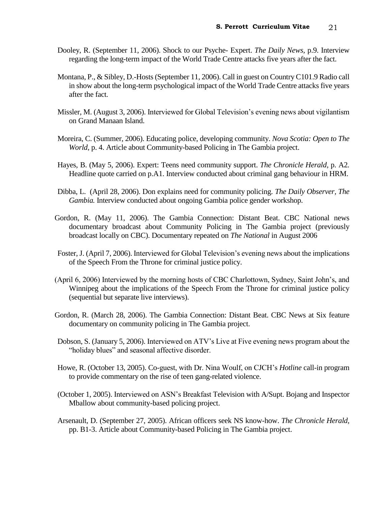- Dooley, R. (September 11, 2006). Shock to our Psyche- Expert. *The Daily News,* p.9. Interview regarding the long-term impact of the World Trade Centre attacks five years after the fact.
- Montana, P., & Sibley, D.-Hosts (September 11, 2006). Call in guest on Country C101.9 Radio call in show about the long-term psychological impact of the World Trade Centre attacks five years after the fact.
- Missler, M. (August 3, 2006). Interviewed for Global Television's evening news about vigilantism on Grand Manaan Island.
- Moreira, C. (Summer, 2006). Educating police, developing community. *Nova Scotia: Open to The World,* p. 4. Article about Community-based Policing in The Gambia project.
- Hayes, B. (May 5, 2006). Expert: Teens need community support. *The Chronicle Herald,* p. A2*.*  Headline quote carried on p.A1. Interview conducted about criminal gang behaviour in HRM.
- Dibba, L. (April 28, 2006). Don explains need for community policing. *The Daily Observer, The Gambia.* Interview conducted about ongoing Gambia police gender workshop.
- Gordon, R. (May 11, 2006). The Gambia Connection: Distant Beat. CBC National news documentary broadcast about Community Policing in The Gambia project (previously broadcast locally on CBC). Documentary repeated on *The National* in August 2006
- Foster, J. (April 7, 2006). Interviewed for Global Television's evening news about the implications of the Speech From the Throne for criminal justice policy.
- (April 6, 2006) Interviewed by the morning hosts of CBC Charlottown, Sydney, Saint John's, and Winnipeg about the implications of the Speech From the Throne for criminal justice policy (sequential but separate live interviews).
- Gordon, R. (March 28, 2006). The Gambia Connection: Distant Beat. CBC News at Six feature documentary on community policing in The Gambia project.
- Dobson, S. (January 5, 2006). Interviewed on ATV's Live at Five evening news program about the "holiday blues" and seasonal affective disorder.
- Howe, R. (October 13, 2005). Co-guest, with Dr. Nina Woulf, on CJCH's *Hotline* call-in program to provide commentary on the rise of teen gang-related violence.
- (October 1, 2005). Interviewed on ASN's Breakfast Television with A/Supt. Bojang and Inspector Mballow about community-based policing project.
- Arsenault, D. (September 27, 2005). African officers seek NS know-how. *The Chronicle Herald,* pp. B1-3. Article about Community-based Policing in The Gambia project.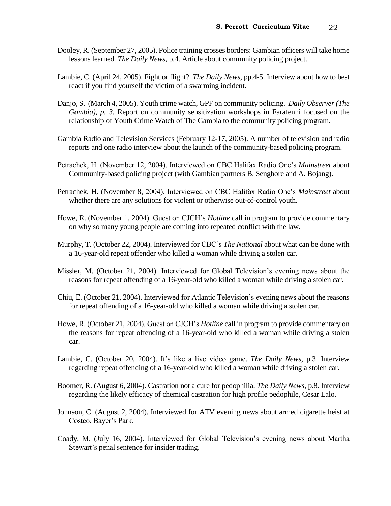- Dooley, R. (September 27, 2005). Police training crosses borders: Gambian officers will take home lessons learned. *The Daily News,* p.4. Article about community policing project.
- Lambie, C. (April 24, 2005). Fight or flight?. *The Daily News,* pp.4-5. Interview about how to best react if you find yourself the victim of a swarming incident.
- Danjo, S. (March 4, 2005). Youth crime watch, GPF on community policing. *Daily Observer (The Gambia), p. 3.* Report on community sensitization workshops in Farafenni focused on the relationship of Youth Crime Watch of The Gambia to the community policing program.
- Gambia Radio and Television Services (February 12-17, 2005). A number of television and radio reports and one radio interview about the launch of the community-based policing program.
- Petrachek, H. (November 12, 2004). Interviewed on CBC Halifax Radio One's *Mainstreet* about Community-based policing project (with Gambian partners B. Senghore and A. Bojang).
- Petrachek, H. (November 8, 2004). Interviewed on CBC Halifax Radio One's *Mainstreet* about whether there are any solutions for violent or otherwise out-of-control youth.
- Howe, R. (November 1, 2004). Guest on CJCH's *Hotline* call in program to provide commentary on why so many young people are coming into repeated conflict with the law.
- Murphy, T. (October 22, 2004). Interviewed for CBC's *The National* about what can be done with a 16-year-old repeat offender who killed a woman while driving a stolen car.
- Missler, M. (October 21, 2004). Interviewed for Global Television's evening news about the reasons for repeat offending of a 16-year-old who killed a woman while driving a stolen car.
- Chiu, E. (October 21, 2004). Interviewed for Atlantic Television's evening news about the reasons for repeat offending of a 16-year-old who killed a woman while driving a stolen car.
- Howe, R. (October 21, 2004). Guest on CJCH's *Hotline* call in program to provide commentary on the reasons for repeat offending of a 16-year-old who killed a woman while driving a stolen car.
- Lambie, C. (October 20, 2004). It's like a live video game. *The Daily News,* p.3. Interview regarding repeat offending of a 16-year-old who killed a woman while driving a stolen car.
- Boomer, R. (August 6, 2004). Castration not a cure for pedophilia. *The Daily News,* p.8. Interview regarding the likely efficacy of chemical castration for high profile pedophile, Cesar Lalo.
- Johnson, C. (August 2, 2004). Interviewed for ATV evening news about armed cigarette heist at Costco, Bayer's Park.
- Coady, M. (July 16, 2004). Interviewed for Global Television's evening news about Martha Stewart's penal sentence for insider trading.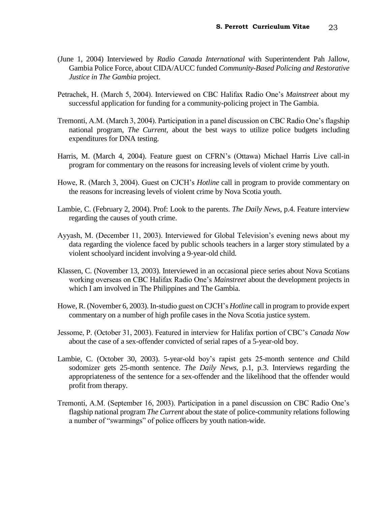- (June 1, 2004) Interviewed by *Radio Canada International* with Superintendent Pah Jallow, Gambia Police Force, about CIDA/AUCC funded *Community-Based Policing and Restorative Justice in The Gambia* project.
- Petrachek, H. (March 5, 2004). Interviewed on CBC Halifax Radio One's *Mainstreet* about my successful application for funding for a community-policing project in The Gambia.
- Tremonti, A.M. (March 3, 2004). Participation in a panel discussion on CBC Radio One's flagship national program, *The Current,* about the best ways to utilize police budgets including expenditures for DNA testing.
- Harris, M. (March 4, 2004). Feature guest on CFRN's (Ottawa) Michael Harris Live call-in program for commentary on the reasons for increasing levels of violent crime by youth.
- Howe, R. (March 3, 2004). Guest on CJCH's *Hotline* call in program to provide commentary on the reasons for increasing levels of violent crime by Nova Scotia youth.
- Lambie, C. (February 2, 2004). Prof: Look to the parents. *The Daily News,* p.4. Feature interview regarding the causes of youth crime.
- Ayyash, M. (December 11, 2003). Interviewed for Global Television's evening news about my data regarding the violence faced by public schools teachers in a larger story stimulated by a violent schoolyard incident involving a 9-year-old child.
- Klassen, C. (November 13, 2003). Interviewed in an occasional piece series about Nova Scotians working overseas on CBC Halifax Radio One's *Mainstreet* about the development projects in which I am involved in The Philippines and The Gambia.
- Howe, R. (November 6, 2003). In-studio guest on CJCH's *Hotline* call in program to provide expert commentary on a number of high profile cases in the Nova Scotia justice system.
- Jessome, P. (October 31, 2003). Featured in interview for Halifax portion of CBC's *Canada Now*  about the case of a sex-offender convicted of serial rapes of a 5-year-old boy.
- Lambie, C. (October 30, 2003). 5-year-old boy's rapist gets 25-month sentence *and* Child sodomizer gets 25-month sentence. *The Daily News,* p.1, p.3. Interviews regarding the appropriateness of the sentence for a sex-offender and the likelihood that the offender would profit from therapy.
- Tremonti, A.M. (September 16, 2003). Participation in a panel discussion on CBC Radio One's flagship national program *The Current* about the state of police-community relations following a number of "swarmings" of police officers by youth nation-wide.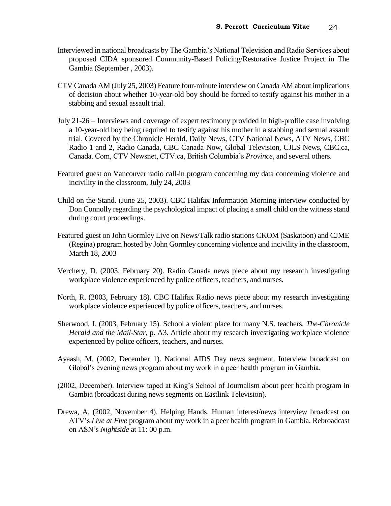- Interviewed in national broadcasts by The Gambia's National Television and Radio Services about proposed CIDA sponsored Community-Based Policing/Restorative Justice Project in The Gambia (September , 2003).
- CTV Canada AM (July 25, 2003) Feature four-minute interview on Canada AM about implications of decision about whether 10-year-old boy should be forced to testify against his mother in a stabbing and sexual assault trial.
- July 21-26 Interviews and coverage of expert testimony provided in high-profile case involving a 10-year-old boy being required to testify against his mother in a stabbing and sexual assault trial. Covered by the Chronicle Herald, Daily News, CTV National News, ATV News, CBC Radio 1 and 2, Radio Canada, CBC Canada Now, Global Television, CJLS News, CBC.ca, Canada. Com, CTV Newsnet, CTV.ca, British Columbia's *Province*, and several others.
- Featured guest on Vancouver radio call-in program concerning my data concerning violence and incivility in the classroom, July 24, 2003
- Child on the Stand. (June 25, 2003). CBC Halifax Information Morning interview conducted by Don Connolly regarding the psychological impact of placing a small child on the witness stand during court proceedings.
- Featured guest on John Gormley Live on News/Talk radio stations CKOM (Saskatoon) and CJME (Regina) program hosted by John Gormley concerning violence and incivility in the classroom, March 18, 2003
- Verchery, D. (2003, February 20). Radio Canada news piece about my research investigating workplace violence experienced by police officers, teachers, and nurses.
- North, R. (2003, February 18). CBC Halifax Radio news piece about my research investigating workplace violence experienced by police officers, teachers, and nurses.
- Sherwood, J. (2003, February 15). School a violent place for many N.S. teachers. *The-Chronicle Herald and the Mail-Star,* p. A3. Article about my research investigating workplace violence experienced by police officers, teachers, and nurses.
- Ayaash, M. (2002, December 1). National AIDS Day news segment. Interview broadcast on Global's evening news program about my work in a peer health program in Gambia.
- (2002, December). Interview taped at King's School of Journalism about peer health program in Gambia (broadcast during news segments on Eastlink Television).
- Drewa, A. (2002, November 4). Helping Hands. Human interest/news interview broadcast on ATV's *Live at Five* program about my work in a peer health program in Gambia. Rebroadcast on ASN's *Nightside* at 11: 00 p.m.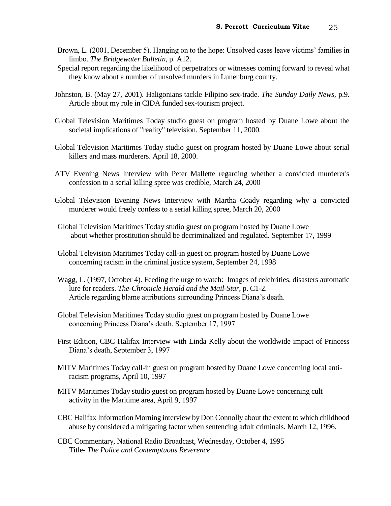- Brown, L. (2001, December 5). Hanging on to the hope: Unsolved cases leave victims' families in limbo. *The Bridgewater Bulletin,* p. A12.
- Special report regarding the likelihood of perpetrators or witnesses coming forward to reveal what they know about a number of unsolved murders in Lunenburg county.
- Johnston, B. (May 27, 2001). Haligonians tackle Filipino sex-trade. *The Sunday Daily News,* p.9. Article about my role in CIDA funded sex-tourism project.
- Global Television Maritimes Today studio guest on program hosted by Duane Lowe about the societal implications of "reality" television. September 11, 2000.
- Global Television Maritimes Today studio guest on program hosted by Duane Lowe about serial killers and mass murderers. April 18, 2000.
- ATV Evening News Interview with Peter Mallette regarding whether a convicted murderer's confession to a serial killing spree was credible, March 24, 2000
- Global Television Evening News Interview with Martha Coady regarding why a convicted murderer would freely confess to a serial killing spree, March 20, 2000
- Global Television Maritimes Today studio guest on program hosted by Duane Lowe about whether prostitution should be decriminalized and regulated. September 17, 1999
- Global Television Maritimes Today call-in guest on program hosted by Duane Lowe concerning racism in the criminal justice system, September 24, 1998
- Wagg, L. (1997, October 4). Feeding the urge to watch: Images of celebrities, disasters automatic lure for readers. *The-Chronicle Herald and the Mail-Star,* p. C1-2. Article regarding blame attributions surrounding Princess Diana's death.
- Global Television Maritimes Today studio guest on program hosted by Duane Lowe concerning Princess Diana's death. September 17, 1997
- First Edition, CBC Halifax Interview with Linda Kelly about the worldwide impact of Princess Diana's death, September 3, 1997
- MITV Maritimes Today call-in guest on program hosted by Duane Lowe concerning local antiracism programs, April 10, 1997
- MITV Maritimes Today studio guest on program hosted by Duane Lowe concerning cult activity in the Maritime area, April 9, 1997
- CBC Halifax Information Morning interview by Don Connolly about the extent to which childhood abuse by considered a mitigating factor when sentencing adult criminals. March 12, 1996.
- CBC Commentary, National Radio Broadcast, Wednesday, October 4, 1995 Title- *The Police and Contemptuous Reverence*